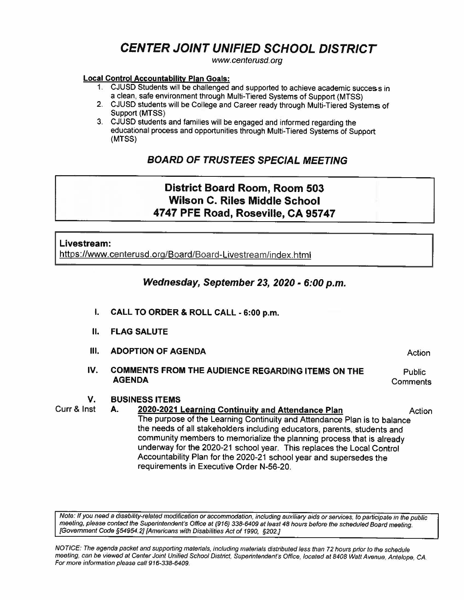# **CENTER JOINT UNIFIED SCHOOL DISTRICT**

www.centerusd.org

### **Local Control Accountability Plan Goals:**

- 1. CJUSD Students will be challenged and supported to achieve academic success in a clean, safe environment through Multi-Tiered Systems of Support (MTSS)
- 2. CJUSD students will be College and Career ready through Multi-Tiered Systems of Support **(MTSS)**
- 3. CJUSD students and families will be engaged and informed regarding the educational process and opportunities through Multj. Tiered Systems of Support **(MTSS)**

# **BOARD OF TRUSTEES SPECIAL MEETING**

# **District Board Room, Room 503 Wilson C. Riles Middle School 4747 PFE Road, Roseville, CA 95747**

## **Livestream:**

https://www.centerusd.org/Board/Board-livestream/index.html

## **Wednesday, September 23, 2020** - **6:00 p.m.**

- I. **CALL TO ORDER** & **ROLL CALL 6:00 p.m.**
- **11. FLAG SALUTE**
- **111. ADOPTION OF AGENDA**
- **IV. COMMENTS FROM** THE **AUDIENCE REGARDING ITEMS ON THE AGENDA Public Comments**

Action

# **V. BUSINESS ITEMS**<br>**Curr & Inst A. 2020-2021**

A. **2020-2021 Learning Continuity and Attendance Plan Action** The purpose of the Learning Continuity and Attendance Plan is to balance the needs of all stakeholders including educators, parents, students and community members to memorialize the planning process that is already underway for the 2020-21 school year. This replaces the Local Control Accountability Plan for the 2020-21 school year and supersedes the requirements in Executive Order N-56-20.

Note: If you need a disability-related modification or accommodation, including auxiliary aids or services, to participate in the public meeting, please contact the Superintendent's Office at (916) 338·6409 at least **48** hours before the scheduled Board meeting. {Government Code *§54954.2)* {Americans with Disabilities Act of 1990, §202.)

NOTICE: The agenda packet and supporting materials, including materials distributed less than 72 hours prior to the schedule meeting, can be viewed at Center Joint Unified School District, Superintendent·s Office, located at 8408 Watt Avenue, Antelope, CA. For more information please call 916-338-6409.